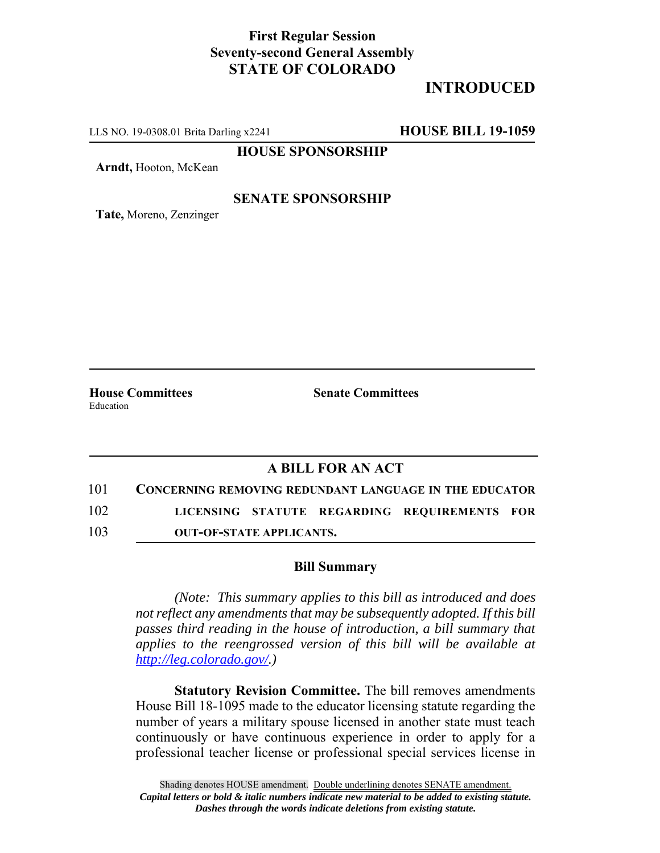## **First Regular Session Seventy-second General Assembly STATE OF COLORADO**

# **INTRODUCED**

LLS NO. 19-0308.01 Brita Darling x2241 **HOUSE BILL 19-1059**

**HOUSE SPONSORSHIP**

**Arndt,** Hooton, McKean

#### **SENATE SPONSORSHIP**

**Tate,** Moreno, Zenzinger

Education

**House Committees Senate Committees** 

### **A BILL FOR AN ACT**

101 **CONCERNING REMOVING REDUNDANT LANGUAGE IN THE EDUCATOR**

102 **LICENSING STATUTE REGARDING REQUIREMENTS FOR**

103 **OUT-OF-STATE APPLICANTS.**

#### **Bill Summary**

*(Note: This summary applies to this bill as introduced and does not reflect any amendments that may be subsequently adopted. If this bill passes third reading in the house of introduction, a bill summary that applies to the reengrossed version of this bill will be available at http://leg.colorado.gov/.)*

**Statutory Revision Committee.** The bill removes amendments House Bill 18-1095 made to the educator licensing statute regarding the number of years a military spouse licensed in another state must teach continuously or have continuous experience in order to apply for a professional teacher license or professional special services license in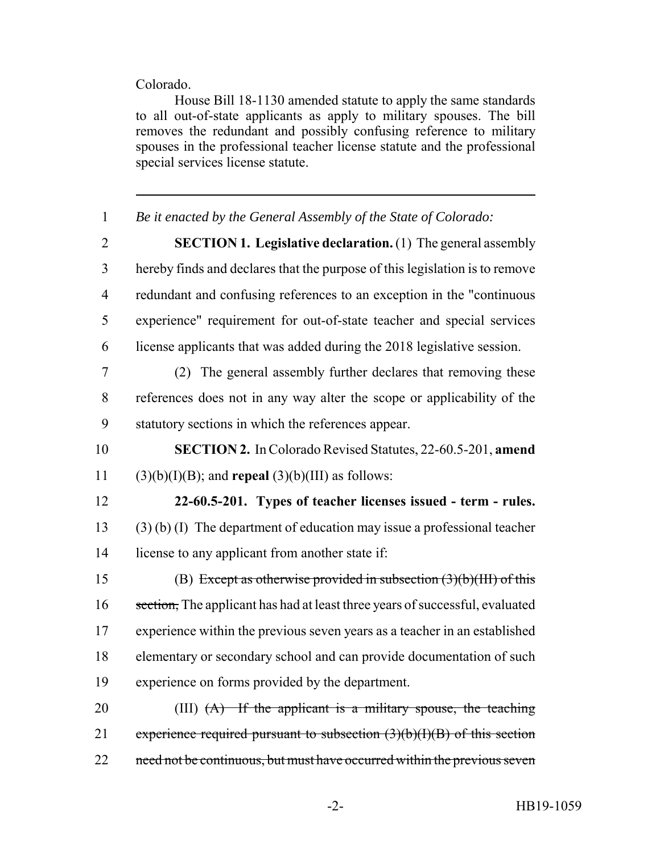#### Colorado.

House Bill 18-1130 amended statute to apply the same standards to all out-of-state applicants as apply to military spouses. The bill removes the redundant and possibly confusing reference to military spouses in the professional teacher license statute and the professional special services license statute.

| $\mathbf{1}$   | Be it enacted by the General Assembly of the State of Colorado:              |
|----------------|------------------------------------------------------------------------------|
| $\overline{2}$ | <b>SECTION 1. Legislative declaration.</b> (1) The general assembly          |
| 3              | hereby finds and declares that the purpose of this legislation is to remove  |
| $\overline{4}$ | redundant and confusing references to an exception in the "continuous        |
| 5              | experience" requirement for out-of-state teacher and special services        |
| 6              | license applicants that was added during the 2018 legislative session.       |
| 7              | (2) The general assembly further declares that removing these                |
| 8              | references does not in any way alter the scope or applicability of the       |
| 9              | statutory sections in which the references appear.                           |
| 10             | <b>SECTION 2.</b> In Colorado Revised Statutes, 22-60.5-201, amend           |
| 11             | $(3)(b)(I)(B)$ ; and <b>repeal</b> $(3)(b)(III)$ as follows:                 |
| 12             | 22-60.5-201. Types of teacher licenses issued - term - rules.                |
| 13             | $(3)$ (b) (I) The department of education may issue a professional teacher   |
| 14             | license to any applicant from another state if:                              |
| 15             | (B) Except as otherwise provided in subsection $(3)(b)(HH)$ of this          |
| 16             | section, The applicant has had at least three years of successful, evaluated |
| 17             | experience within the previous seven years as a teacher in an established    |
| 18             | elementary or secondary school and can provide documentation of such         |
| 19             | experience on forms provided by the department.                              |
| 20             | (III) $(A)$ If the applicant is a military spouse, the teaching              |
|                |                                                                              |
| 21             | experience required pursuant to subsection $(3)(b)(1)(B)$ of this section    |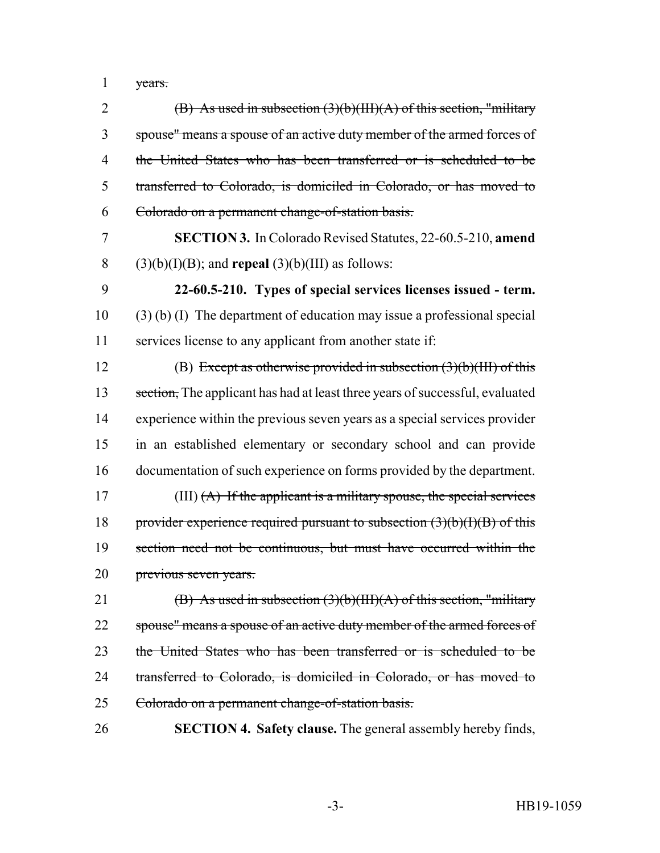years.

| $\overline{2}$ | (B) As used in subsection $(3)(b)(III)(A)$ of this section, "military        |
|----------------|------------------------------------------------------------------------------|
| 3              | spouse" means a spouse of an active duty member of the armed forces of       |
| 4              | the United States who has been transferred or is scheduled to be             |
| 5              | transferred to Colorado, is domiciled in Colorado, or has moved to           |
| 6              | Colorado on a permanent change-of-station basis.                             |
| 7              | SECTION 3. In Colorado Revised Statutes, 22-60.5-210, amend                  |
| 8              | $(3)(b)(I)(B)$ ; and <b>repeal</b> $(3)(b)(III)$ as follows:                 |
| 9              | 22-60.5-210. Types of special services licenses issued - term.               |
| 10             | $(3)$ (b) (I) The department of education may issue a professional special   |
| 11             | services license to any applicant from another state if:                     |
| 12             | (B) Except as otherwise provided in subsection $(3)(b)(HH)$ of this          |
| 13             | section, The applicant has had at least three years of successful, evaluated |
| 14             | experience within the previous seven years as a special services provider    |
| 15             | in an established elementary or secondary school and can provide             |
| 16             | documentation of such experience on forms provided by the department.        |
| 17             | (III) $(A)$ If the applicant is a military spouse, the special services      |
| 18             | provider experience required pursuant to subsection $(3)(b)(I)(B)$ of this   |
| 19             | section need not be continuous, but must have occurred within the            |
| 20             | previous seven years.                                                        |
| 21             | (B) As used in subsection $(3)(b)(III)(A)$ of this section, "military"       |
| 22             | spouse" means a spouse of an active duty member of the armed forces of       |
| 23             | the United States who has been transferred or is scheduled to be             |
| 24             | transferred to Colorado, is domiciled in Colorado, or has moved to           |
| 25             | Colorado on a permanent change-of-station basis.                             |
| 26             | <b>SECTION 4. Safety clause.</b> The general assembly hereby finds,          |